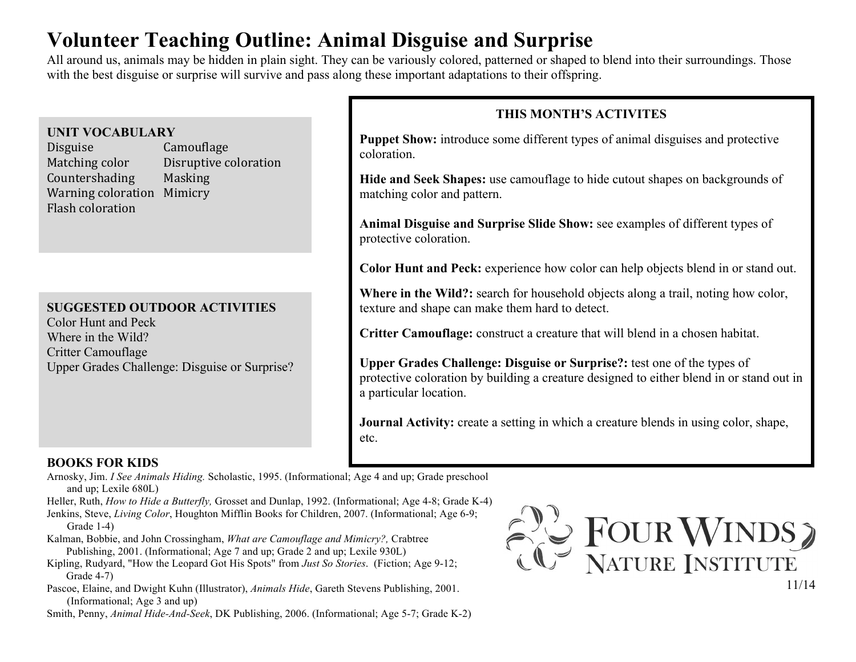# **Volunteer Teaching Outline: Animal Disguise and Surprise**

All around us, animals may be hidden in plain sight. They can be variously colored, patterned or shaped to blend into their surroundings. Those with the best disguise or surprise will survive and pass along these important adaptations to their offspring.

### **UNIT VOCABULARY**

Disguise Camouflage Matching color Disruptive coloration Countershading Masking Warning coloration Mimicry Flash coloration

# **SUGGESTED OUTDOOR ACTIVITIES**

Color Hunt and Peck Where in the Wild? Critter Camouflage Upper Grades Challenge: Disguise or Surprise?

# **THIS MONTH'S ACTIVITES**

**Puppet Show:** introduce some different types of animal disguises and protective coloration.

**Hide and Seek Shapes:** use camouflage to hide cutout shapes on backgrounds of matching color and pattern.

**Animal Disguise and Surprise Slide Show:** see examples of different types of protective coloration.

**Color Hunt and Peck:** experience how color can help objects blend in or stand out.

**Where in the Wild?:** search for household objects along a trail, noting how color, texture and shape can make them hard to detect.

**Critter Camouflage:** construct a creature that will blend in a chosen habitat.

**Upper Grades Challenge: Disguise or Surprise?:** test one of the types of protective coloration by building a creature designed to either blend in or stand out in a particular location.

**Journal Activity:** create a setting in which a creature blends in using color, shape, etc.

## **BOOKS FOR KIDS**

Arnosky, Jim. *I See Animals Hiding.* Scholastic, 1995. (Informational; Age 4 and up; Grade preschool and up; Lexile 680L)

Heller, Ruth, *How to Hide a Butterfly,* Grosset and Dunlap, 1992. (Informational; Age 4-8; Grade K-4)

- Jenkins, Steve, *Living Color*, Houghton Mifflin Books for Children, 2007. (Informational; Age 6-9; Grade 1-4)
- Kalman, Bobbie, and John Crossingham, *What are Camouflage and Mimicry?,* Crabtree Publishing, 2001. (Informational; Age 7 and up; Grade 2 and up; Lexile 930L)
- Kipling, Rudyard, "How the Leopard Got His Spots" from *Just So Stories*. (Fiction; Age 9-12; Grade 4-7)
- Pascoe, Elaine, and Dwight Kuhn (Illustrator), *Animals Hide*, Gareth Stevens Publishing, 2001. (Informational; Age 3 and up)

Smith, Penny, *Animal Hide-And-Seek*, DK Publishing, 2006. (Informational; Age 5-7; Grade K-2)